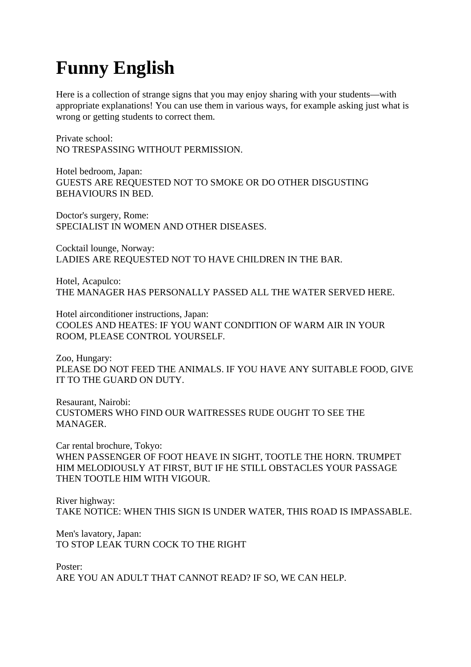## **Funny English**

Here is a collection of strange signs that you may enjoy sharing with your students—with appropriate explanations! You can use them in various ways, for example asking just what is wrong or getting students to correct them.

Private school: NO TRESPASSING WITHOUT PERMISSION.

Hotel bedroom, Japan: GUESTS ARE REQUESTED NOT TO SMOKE OR DO OTHER DISGUSTING BEHAVIOURS IN BED.

Doctor's surgery, Rome: SPECIALIST IN WOMEN AND OTHER DISEASES.

Cocktail lounge, Norway: LADIES ARE REQUESTED NOT TO HAVE CHILDREN IN THE BAR.

Hotel, Acapulco: THE MANAGER HAS PERSONALLY PASSED ALL THE WATER SERVED HERE.

Hotel airconditioner instructions, Japan: COOLES AND HEATES: IF YOU WANT CONDITION OF WARM AIR IN YOUR ROOM, PLEASE CONTROL YOURSELF.

Zoo, Hungary: PLEASE DO NOT FEED THE ANIMALS. IF YOU HAVE ANY SUITABLE FOOD, GIVE IT TO THE GUARD ON DUTY.

Resaurant, Nairobi: CUSTOMERS WHO FIND OUR WAITRESSES RUDE OUGHT TO SEE THE MANAGER.

Car rental brochure, Tokyo: WHEN PASSENGER OF FOOT HEAVE IN SIGHT, TOOTLE THE HORN. TRUMPET HIM MELODIOUSLY AT FIRST, BUT IF HE STILL OBSTACLES YOUR PASSAGE THEN TOOTLE HIM WITH VIGOUR.

River highway: TAKE NOTICE: WHEN THIS SIGN IS UNDER WATER, THIS ROAD IS IMPASSABLE.

Men's lavatory, Japan: TO STOP LEAK TURN COCK TO THE RIGHT

Poster: ARE YOU AN ADULT THAT CANNOT READ? IF SO, WE CAN HELP.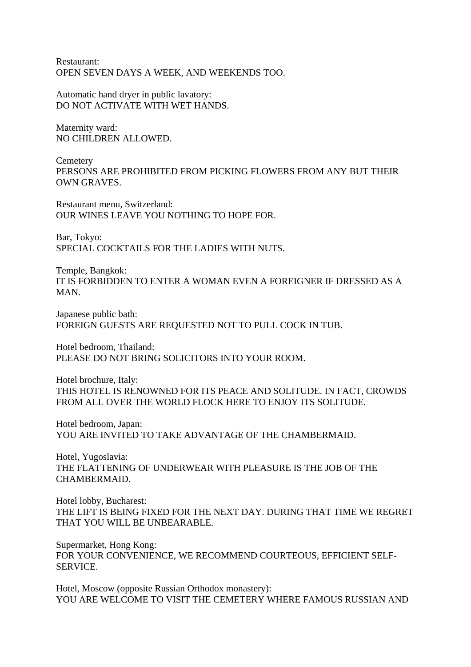Restaurant: OPEN SEVEN DAYS A WEEK, AND WEEKENDS TOO.

Automatic hand dryer in public lavatory: DO NOT ACTIVATE WITH WET HANDS.

Maternity ward: NO CHILDREN ALLOWED.

**Cemetery** PERSONS ARE PROHIBITED FROM PICKING FLOWERS FROM ANY BUT THEIR OWN GRAVES.

Restaurant menu, Switzerland: OUR WINES LEAVE YOU NOTHING TO HOPE FOR.

Bar, Tokyo: SPECIAL COCKTAILS FOR THE LADIES WITH NUTS.

Temple, Bangkok: IT IS FORBIDDEN TO ENTER A WOMAN EVEN A FOREIGNER IF DRESSED AS A **MAN** 

Japanese public bath: FOREIGN GUESTS ARE REQUESTED NOT TO PULL COCK IN TUB.

Hotel bedroom, Thailand: PLEASE DO NOT BRING SOLICITORS INTO YOUR ROOM.

Hotel brochure, Italy: THIS HOTEL IS RENOWNED FOR ITS PEACE AND SOLITUDE. IN FACT, CROWDS FROM ALL OVER THE WORLD FLOCK HERE TO ENJOY ITS SOLITUDE.

Hotel bedroom, Japan: YOU ARE INVITED TO TAKE ADVANTAGE OF THE CHAMBERMAID.

Hotel, Yugoslavia: THE FLATTENING OF UNDERWEAR WITH PLEASURE IS THE JOB OF THE CHAMBERMAID.

Hotel lobby, Bucharest: THE LIFT IS BEING FIXED FOR THE NEXT DAY. DURING THAT TIME WE REGRET THAT YOU WILL BE UNBEARABLE.

Supermarket, Hong Kong: FOR YOUR CONVENIENCE, WE RECOMMEND COURTEOUS, EFFICIENT SELF-SERVICE.

Hotel, Moscow (opposite Russian Orthodox monastery): YOU ARE WELCOME TO VISIT THE CEMETERY WHERE FAMOUS RUSSIAN AND